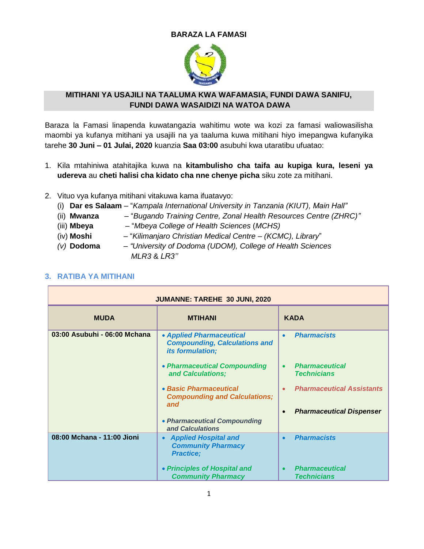#### **BARAZA LA FAMASI**



#### **MITIHANI YA USAJILI NA TAALUMA KWA WAFAMASIA, FUNDI DAWA SANIFU, FUNDI DAWA WASAIDIZI NA WATOA DAWA**

Baraza la Famasi linapenda kuwatangazia wahitimu wote wa kozi za famasi waliowasilisha maombi ya kufanya mitihani ya usajili na ya taaluma kuwa mitihani hiyo imepangwa kufanyika tarehe **30 Juni – 01 Julai, 2020** kuanzia **Saa 03:00** asubuhi kwa utaratibu ufuatao:

- 1. Kila mtahiniwa atahitajika kuwa na **kitambulisho cha taifa au kupiga kura, leseni ya udereva** au **cheti halisi cha kidato cha nne chenye picha** siku zote za mitihani.
- 2. Vituo vya kufanya mitihani vitakuwa kama ifuatavyo:
	- (i) **Dar es Salaam** "*Kampala International University in Tanzania (KIUT), Main Hall"*
	- (ii) **Mwanza**  "*Bugando Training Centre, Zonal Health Resources Centre (ZHRC)"*
	- (iii) **Mbeya**  "*Mbeya College of Health Sciences* (*MCHS)*
	- (iv) **Moshi** "*Kilimanjaro Christian Medical Centre – (KCMC), Library*"
	- *(v)* **Dodoma**  *"University of Dodoma (UDOM), College of Health Sciences*  *MLR3* & *LR3''*

| <b>JUMANNE: TAREHE 30 JUNI, 2020</b> |                                                                                             |                                                          |
|--------------------------------------|---------------------------------------------------------------------------------------------|----------------------------------------------------------|
| <b>MUDA</b>                          | <b>MTIHANI</b>                                                                              | <b>KADA</b>                                              |
| 03:00 Asubuhi - 06:00 Mchana         | • Applied Pharmaceutical<br><b>Compounding, Calculations and</b><br><i>its formulation;</i> | <b>Pharmacists</b><br>$\bullet$                          |
|                                      | • Pharmaceutical Compounding<br>and Calculations;                                           | <b>Pharmaceutical</b><br>$\bullet$<br><b>Technicians</b> |
|                                      | • Basic Pharmaceutical<br><b>Compounding and Calculations;</b><br>and                       | <b>Pharmaceutical Assistants</b><br>$\bullet$            |
|                                      | • Pharmaceutical Compounding                                                                | <b>Pharmaceutical Dispenser</b><br>$\bullet$             |
|                                      | and Calculations                                                                            |                                                          |
| 08:00 Mchana - 11:00 Jioni           | <b>Applied Hospital and</b><br>$\bullet$<br><b>Community Pharmacy</b><br><b>Practice;</b>   | <b>Pharmacists</b><br>$\bullet$                          |
|                                      | • Principles of Hospital and<br><b>Community Pharmacy</b>                                   | <b>Pharmaceutical</b><br>$\bullet$<br><b>Technicians</b> |

### **3. RATIBA YA MITIHANI**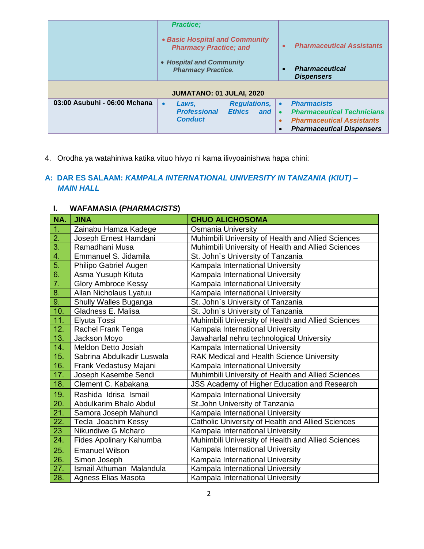|                              | <b>Practice;</b><br>• Basic Hospital and Community<br><b>Pharmacy Practice; and</b><br>• Hospital and Community<br><b>Pharmacy Practice.</b><br>JUMATANO: 01 JULAI, 2020 | <b>Pharmaceutical Assistants</b><br>$\bullet$<br><b>Pharmaceutical</b><br>$\bullet$<br><b>Dispensers</b>                                                  |
|------------------------------|--------------------------------------------------------------------------------------------------------------------------------------------------------------------------|-----------------------------------------------------------------------------------------------------------------------------------------------------------|
| 03:00 Asubuhi - 06:00 Mchana | <b>Regulations,  </b><br>Laws,<br>$\bullet$<br><b>Professional</b><br><b>Ethics</b><br>and<br><b>Conduct</b>                                                             | <b>Pharmacists</b><br><b>Pharmaceutical Technicians</b><br>$\bullet$<br><b>Pharmaceutical Assistants</b><br>$\bullet$<br><b>Pharmaceutical Dispensers</b> |

4. Orodha ya watahiniwa katika vituo hivyo ni kama ilivyoainishwa hapa chini:

# **A: DAR ES SALAAM:** *KAMPALA INTERNATIONAL UNIVERSITY IN TANZANIA (KIUT) – MAIN HALL*

# **I. WAFAMASIA (***PHARMACISTS***)**

| NA.              | <b>JINA</b>                | <b>CHUO ALICHOSOMA</b>                             |
|------------------|----------------------------|----------------------------------------------------|
| 1.               | Zainabu Hamza Kadege       | <b>Osmania University</b>                          |
| 2.               | Joseph Ernest Hamdani      | Muhimbili University of Health and Allied Sciences |
| $\overline{3}$ . | Ramadhani Musa             | Muhimbili University of Health and Allied Sciences |
| 4.               | Emmanuel S. Jidamila       | St. John's University of Tanzania                  |
| $\overline{5}$ . | Philipo Gabriel Augen      | Kampala International University                   |
| 6.               | Asma Yusuph Kituta         | Kampala International University                   |
| 7.               | <b>Glory Ambroce Kessy</b> | Kampala International University                   |
| 8.               | Allan Nicholaus Lyatuu     | Kampala International University                   |
| 9.               | Shully Walles Buganga      | St. John's University of Tanzania                  |
| 10.              | Gladness E. Malisa         | St. John's University of Tanzania                  |
| 11.              | Elyuta Tossi               | Muhimbili University of Health and Allied Sciences |
| 12.              | Rachel Frank Tenga         | Kampala International University                   |
| 13.              | Jackson Moyo               | Jawaharlal nehru technological University          |
| 14.              | Meldon Detto Josiah        | Kampala International University                   |
| 15.              | Sabrina Abdulkadir Luswala | RAK Medical and Health Science University          |
| 16.              | Frank Vedastusy Majani     | Kampala International University                   |
| 17.              | Joseph Kasembe Sendi       | Muhimbili University of Health and Allied Sciences |
| 18.              | Clement C. Kabakana        | JSS Academy of Higher Education and Research       |
| 19.              | Rashida Idrisa Ismail      | Kampala International University                   |
| 20.              | Abdulkarim Bhalo Abdul     | St. John University of Tanzania                    |
| 21.              | Samora Joseph Mahundi      | Kampala International University                   |
| 22.              | Tecla Joachim Kessy        | Catholic University of Health and Allied Sciences  |
| 23               | Nikundiwe G Mcharo         | Kampala International University                   |
| 24.              | Fides Apolinary Kahumba    | Muhimbili University of Health and Allied Sciences |
| 25.              | <b>Emanuel Wilson</b>      | Kampala International University                   |
| 26.              | Simon Joseph               | Kampala International University                   |
| 27.              | Ismail Athuman Malandula   | Kampala International University                   |
| 28.              | <b>Agness Elias Masota</b> | Kampala International University                   |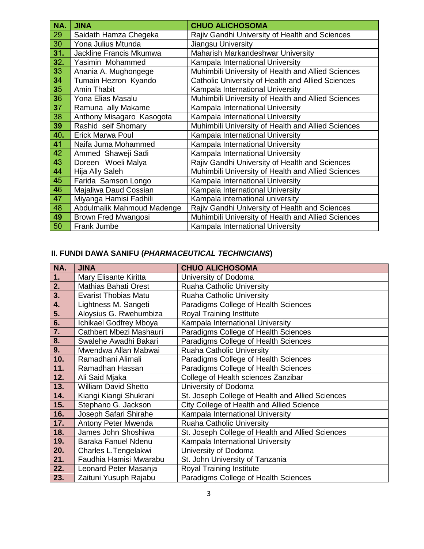| NA. | <b>JINA</b>                | <b>CHUO ALICHOSOMA</b>                             |
|-----|----------------------------|----------------------------------------------------|
| 29  | Saidath Hamza Chegeka      | Rajiv Gandhi University of Health and Sciences     |
| 30  | Yona Julius Mtunda         | Jiangsu University                                 |
| 31. | Jackline Francis Mkumwa    | Maharish Markandeshwar University                  |
| 32. | Yasimin Mohammed           | Kampala International University                   |
| 33  | Anania A. Mughongege       | Muhimbili University of Health and Allied Sciences |
| 34  | Tumain Hezron Kyando       | Catholic University of Health and Allied Sciences  |
| 35  | <b>Amin Thabit</b>         | Kampala International University                   |
| 36  | Yona Elias Masalu          | Muhimbili University of Health and Allied Sciences |
| 37  | Ramuna ally Makame         | Kampala International University                   |
| 38  | Anthony Misagaro Kasogota  | Kampala International University                   |
| 39  | Rashid seif Shomary        | Muhimbili University of Health and Allied Sciences |
| 40. | <b>Erick Marwa Poul</b>    | Kampala International University                   |
| 41  | Naifa Juma Mohammed        | Kampala International University                   |
| 42  | Ammed Shaweji Sadi         | Kampala International University                   |
| 43  | Doreen Woeli Malya         | Rajiv Gandhi University of Health and Sciences     |
| 44  | Hija Ally Saleh            | Muhimbili University of Health and Allied Sciences |
| 45  | Farida Samson Longo        | Kampala International University                   |
| 46  | Majaliwa Daud Cossian      | Kampala International University                   |
| 47  | Miyanga Hamisi Fadhili     | Kampala international university                   |
| 48  | Abdulmalik Mahmoud Madenge | Rajiv Gandhi University of Health and Sciences     |
| 49  | Brown Fred Mwangosi        | Muhimbili University of Health and Allied Sciences |
| 50  | Frank Jumbe                | Kampala International University                   |

| NA. | <b>JINA</b>                 | <b>CHUO ALICHOSOMA</b>                           |
|-----|-----------------------------|--------------------------------------------------|
| 1.  | Mary Elisante Kiritta       | University of Dodoma                             |
| 2.  | <b>Mathias Bahati Orest</b> | Ruaha Catholic University                        |
| 3.  | <b>Evarist Thobias Matu</b> | Ruaha Catholic University                        |
| 4.  | Lightness M. Sangeti        | Paradigms College of Health Sciences             |
| 5.  | Aloysius G. Rwehumbiza      | <b>Royal Training Institute</b>                  |
| 6.  | Ichikael Godfrey Mboya      | Kampala International University                 |
| 7.  | Cathbert Mbezi Mashauri     | Paradigms College of Health Sciences             |
| 8.  | Swalehe Awadhi Bakari       | Paradigms College of Health Sciences             |
| 9.  | Mwendwa Allan Mabwai        | Ruaha Catholic University                        |
| 10. | Ramadhani Alimali           | Paradigms College of Health Sciences             |
| 11. | Ramadhan Hassan             | Paradigms College of Health Sciences             |
| 12. | Ali Said Mjaka              | College of Health sciences Zanzibar              |
| 13. | <b>William David Shetto</b> | University of Dodoma                             |
| 14. | Kiangi Kiangi Shukrani      | St. Joseph College of Health and Allied Sciences |
| 15. | Stephano G. Jackson         | City College of Health and Allied Science        |
| 16. | Joseph Safari Shirahe       | Kampala International University                 |
| 17. | Antony Peter Mwenda         | <b>Ruaha Catholic University</b>                 |
| 18. | James John Shoshiwa         | St. Joseph College of Health and Allied Sciences |
| 19. | Baraka Fanuel Ndenu         | Kampala International University                 |
| 20. | Charles L.Tengelakwi        | University of Dodoma                             |
| 21. | Faudhia Hamisi Mwarabu      | St. John University of Tanzania                  |
| 22. | Leonard Peter Masanja       | <b>Royal Training Institute</b>                  |
| 23. | Zaituni Yusuph Rajabu       | Paradigms College of Health Sciences             |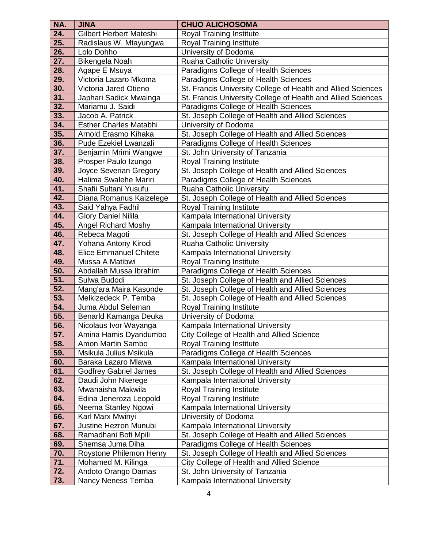| NA.        | <b>JINA</b>                                   | <b>CHUO ALICHOSOMA</b>                                              |
|------------|-----------------------------------------------|---------------------------------------------------------------------|
| 24.        | Gilbert Herbert Mateshi                       | <b>Royal Training Institute</b>                                     |
| 25.        | Radislaus W. Mtayungwa                        | <b>Royal Training Institute</b>                                     |
| 26.        | Lolo Dohho                                    | University of Dodoma                                                |
| 27.        | Bikengela Noah                                | Ruaha Catholic University                                           |
| 28.        | Agape E Msuya                                 | Paradigms College of Health Sciences                                |
| 29.        | Victoria Lazaro Mkoma                         | Paradigms College of Health Sciences                                |
| 30.        | Victoria Jared Otieno                         | St. Francis University College of Health and Allied Sciences        |
| 31.        | Japhari Sadick Mwainga                        | St. Francis University College of Health and Allied Sciences        |
| 32.        | Mariamu J. Saidi                              | Paradigms College of Health Sciences                                |
| 33.        | Jacob A. Patrick                              | St. Joseph College of Health and Allied Sciences                    |
| 34.        | <b>Esther Charles Matabhi</b>                 | University of Dodoma                                                |
| 35.        | Arnold Erasmo Kihaka                          | St. Joseph College of Health and Allied Sciences                    |
| 36.        | Pude Ezekiel Lwanzali                         | Paradigms College of Health Sciences                                |
| 37.        | Benjamin Mrimi Wangwe                         | St. John University of Tanzania                                     |
| 38.        | Prosper Paulo Izungo                          | <b>Royal Training Institute</b>                                     |
| 39.        | Joyce Severian Gregory                        | St. Joseph College of Health and Allied Sciences                    |
| 40.        | Halima Swalehe Mariri                         | Paradigms College of Health Sciences                                |
| 41.        | Shafii Sultani Yusufu                         | Ruaha Catholic University                                           |
| 42.        | Diana Romanus Kaizelege                       | St. Joseph College of Health and Allied Sciences                    |
| 43.        | Said Yahya Fadhil                             | <b>Royal Training Institute</b>                                     |
| 44.        | <b>Glory Daniel Nilila</b>                    | Kampala International University                                    |
| 45.        | <b>Angel Richard Moshy</b>                    | Kampala International University                                    |
| 46.        | Rebeca Magoti                                 | St. Joseph College of Health and Allied Sciences                    |
| 47.        | Yohana Antony Kirodi                          | Ruaha Catholic University                                           |
| 48.        | <b>Elice Emmanuel Chitete</b>                 | Kampala International University                                    |
| 49.        | Mussa A Matibwi                               | <b>Royal Training Institute</b>                                     |
| 50.        | Abdallah Mussa Ibrahim                        | Paradigms College of Health Sciences                                |
| 51.        | Sulwa Budodi                                  | St. Joseph College of Health and Allied Sciences                    |
| 52.        | Mang'ara Maira Kasonde                        | St. Joseph College of Health and Allied Sciences                    |
| 53.        | Melkizedeck P. Temba                          | St. Joseph College of Health and Allied Sciences                    |
| 54.        | Juma Abdul Seleman                            | <b>Royal Training Institute</b>                                     |
| 55.        | Benarld Kamanga Deuka                         | University of Dodoma                                                |
| 56.        | Nicolaus Ivor Wayanga                         | Kampala International University                                    |
| 57.        | Amina Hamis Dyandumbo                         | City College of Health and Allied Science                           |
| 58.        | Amon Martin Sambo                             | <b>Royal Training Institute</b>                                     |
| 59.        | Msikula Julius Msikula                        | Paradigms College of Health Sciences                                |
| 60.        | Baraka Lazaro Mlawa                           | Kampala International University                                    |
| 61.<br>62. | <b>Godfrey Gabriel James</b>                  | St. Joseph College of Health and Allied Sciences                    |
| 63.        | Daudi John Nkerege<br>Mwanaisha Makwila       | Kampala International University<br><b>Royal Training Institute</b> |
| 64.        |                                               | Royal Training Institute                                            |
| 65.        | Edina Jeneroza Leopold<br>Neema Stanley Ngowi | Kampala International University                                    |
| 66.        | Karl Marx Mwinyi                              | University of Dodoma                                                |
| 67.        | Justine Hezron Munubi                         | Kampala International University                                    |
| 68.        | Ramadhani Bofi Mpili                          | St. Joseph College of Health and Allied Sciences                    |
| 69.        | Shemsa Juma Diha                              | Paradigms College of Health Sciences                                |
| 70.        | Roystone Philemon Henry                       | St. Joseph College of Health and Allied Sciences                    |
| 71.        | Mohamed M. Kilinga                            | City College of Health and Allied Science                           |
| 72.        | Andoto Orango Damas                           | St. John University of Tanzania                                     |
| 73.        | Nancy Neness Temba                            | Kampala International University                                    |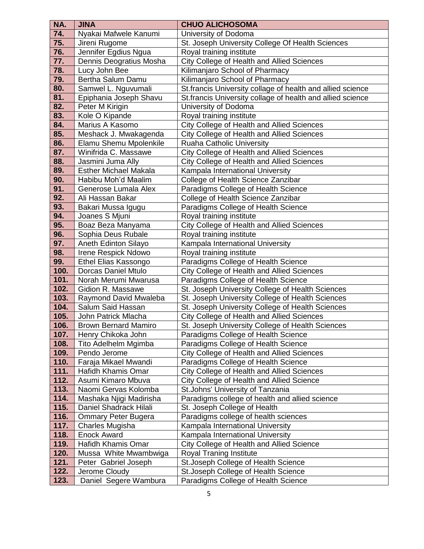| 74.<br>University of Dodoma<br>Nyakai Mafwele Kanumi                                                                                      |  |
|-------------------------------------------------------------------------------------------------------------------------------------------|--|
|                                                                                                                                           |  |
| 75.<br>St. Joseph University College Of Health Sciences<br>Jireni Rugome                                                                  |  |
| 76.<br>Jennifer Egdius Ngua<br>Royal training institute                                                                                   |  |
| 77.<br><b>City College of Health and Allied Sciences</b><br>Dennis Deogratius Mosha                                                       |  |
| 78.<br>Kilimanjaro School of Pharmacy<br>Lucy John Bee                                                                                    |  |
| 79.<br>Bertha Salum Damu<br>Kilimanjaro School of Pharmacy                                                                                |  |
| 80.<br>Samwel L. Nguvumali<br>St.francis University collage of health and allied science                                                  |  |
| 81.<br>Epiphania Joseph Shavu<br>St. francis University collage of health and allied science                                              |  |
| 82.<br>Peter M Kirigin<br>University of Dodoma                                                                                            |  |
| 83.<br>Kole O Kipande<br>Royal training institute                                                                                         |  |
| City College of Health and Allied Sciences<br>Marius A Kasomo<br>84.                                                                      |  |
| 85.<br>Meshack J. Mwakagenda<br>City College of Health and Allied Sciences                                                                |  |
| 86.<br>Ruaha Catholic University<br>Elamu Shemu Mpolenkile                                                                                |  |
| Winifrida C. Massawe<br>87.<br>City College of Health and Allied Sciences                                                                 |  |
| 88.<br><b>City College of Health and Allied Sciences</b><br>Jasmini Juma Ally                                                             |  |
| 89.<br><b>Esther Michael Makala</b><br>Kampala International University                                                                   |  |
| 90.<br>College of Health Science Zanzibar<br>Habibu Moh'd Maalim                                                                          |  |
| 91.<br>Generose Lumala Alex<br>Paradigms College of Health Science                                                                        |  |
| 92.<br>Ali Hassan Bakar<br>College of Health Science Zanzibar                                                                             |  |
| 93.<br>Bakari Mussa Igugu<br>Paradigms College of Health Science                                                                          |  |
| 94.<br>Royal training institute<br>Joanes S Mjuni                                                                                         |  |
| 95.<br><b>City College of Health and Allied Sciences</b><br>Boaz Beza Manyama                                                             |  |
| 96.<br>Royal training institute<br>Sophia Deus Rubale                                                                                     |  |
| 97.<br>Kampala International University<br>Aneth Edinton Silayo                                                                           |  |
| 98.<br>Irene Respick Ndowo<br>Royal training institute                                                                                    |  |
| 99.<br><b>Ethel Elias Kassongo</b><br>Paradigms College of Health Science                                                                 |  |
| 100.<br>City College of Health and Allied Sciences<br><b>Dorcas Daniel Mtulo</b>                                                          |  |
| 101.<br>Paradigms College of Health Science<br>Norah Merumi Mwarusa                                                                       |  |
| 102.<br>Gidion R. Massawe<br>St. Joseph University College of Health Sciences                                                             |  |
| St. Joseph University College of Health Sciences<br>103.<br>Raymond David Mwaleba                                                         |  |
| 104.<br>Salum Said Hassan<br>St. Joseph University College of Health Sciences                                                             |  |
| 105.<br>City College of Health and Allied Sciences<br>John Patrick Mlacha                                                                 |  |
| 106.<br>St. Joseph University College of Health Sciences<br><b>Brown Bernard Mamiro</b>                                                   |  |
| 107.<br>Paradigms College of Health Science<br>Henry Chikoka John                                                                         |  |
| 108.<br>Paradigms College of Health Science<br>Tito Adelhelm Mgimba                                                                       |  |
| <b>City College of Health and Allied Sciences</b><br>109.<br>Pendo Jerome                                                                 |  |
| 110.<br>Faraja Mikael Mwandi<br>Paradigms College of Health Science                                                                       |  |
| 111.<br>City College of Health and Allied Sciences<br>Hafidh Khamis Omar<br>112.                                                          |  |
| Asumi Kimaro Mbuva<br>City College of Health and Allied Science<br>113.<br>St. Johns' University of Tanzania                              |  |
| Naomi Gervas Kolomba                                                                                                                      |  |
| 114.<br>Paradigms college of health and allied science<br>Mashaka Njigi Madirisha<br>115.<br>Daniel Shadrack Hilali                       |  |
| St. Joseph College of Health                                                                                                              |  |
| 116.<br>Paradigms college of health sciences<br><b>Ommary Peter Bugera</b><br>117.<br>Kampala International University<br>Charles Mugisha |  |
| 118.                                                                                                                                      |  |
| <b>Enock Award</b><br>Kampala International University<br>119.<br>Hafidh Khamis Omar                                                      |  |
| City College of Health and Allied Science<br>120.<br>Royal Traning Institute<br>Mussa White Mwambwiga                                     |  |
| 121.<br>Peter Gabriel Joseph<br>St. Joseph College of Health Science                                                                      |  |
| 122.<br>St. Joseph College of Health Science<br>Jerome Cloudy                                                                             |  |
| 123.<br>Daniel Segere Wambura<br>Paradigms College of Health Science                                                                      |  |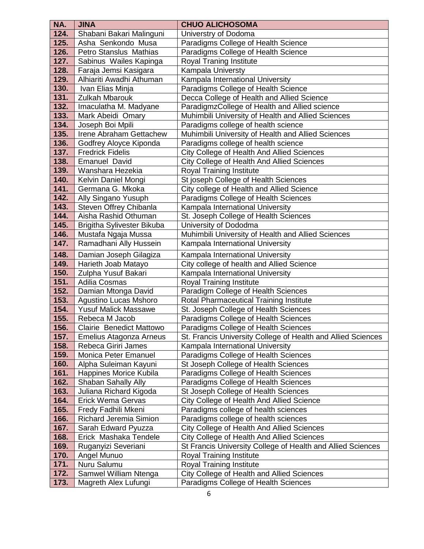| NA.  | <b>JINA</b>                   | <b>CHUO ALICHOSOMA</b>                                       |
|------|-------------------------------|--------------------------------------------------------------|
| 124. | Shabani Bakari Malinguni      | Universtry of Dodoma                                         |
| 125. | Asha Senkondo Musa            | Paradigms College of Health Science                          |
| 126. | Petro Stanslus Mathias        | Paradigms College of Health Science                          |
| 127. | Sabinus Wailes Kapinga        | Royal Traning Institute                                      |
| 128. | Faraja Jemsi Kasigara         | Kampala Universty                                            |
| 129. | Alhiariti Awadhi Athuman      | Kampala International University                             |
| 130. | Ivan Elias Minja              | Paradigms College of Health Science                          |
| 131. | <b>Zulkah Mbarouk</b>         | Decca College of Health and Allied Science                   |
| 132. | Imaculatha M. Madyane         | ParadigmzCollege of Health and Allied science                |
| 133. | Mark Abeidi Omary             | Muhimbili University of Health and Allied Sciences           |
| 134. | Joseph Boi Mpili              | Paradigms college of health science                          |
| 135. | Irene Abraham Gettachew       | Muhimbili University of Health and Allied Sciences           |
| 136. | Godfrey Aloyce Kiponda        | Paradigms college of health science                          |
| 137. | <b>Fredrick Fidelis</b>       | City College of Health And Allied Sciences                   |
| 138. | <b>Emanuel David</b>          | <b>City College of Health And Allied Sciences</b>            |
| 139. | Wanshara Hezekia              | Royal Training Institute                                     |
| 140. | Kelvin Daniel Mongi           | St joseph College of Health Sciences                         |
| 141. | Germana G. Mkoka              | City college of Health and Allied Science                    |
| 142. | Ally Singano Yusuph           | Paradigms College of Health Sciences                         |
| 143. | Steven Offrey Chibanla        | Kampala International University                             |
| 144. | Aisha Rashid Othuman          | St. Joseph College of Health Sciences                        |
| 145. | Brigitha Sylivester Bikuba    | University of Dododma                                        |
| 146. | Mustafa Ngaja Mussa           | Muhimbili University of Health and Allied Sciences           |
| 147. | Ramadhani Ally Hussein        | Kampala International University                             |
| 148. | Damian Joseph Gilagiza        | Kampala International University                             |
| 149. | Harieth Joab Matayo           | City college of health and Allied Science                    |
| 150. | Zulpha Yusuf Bakari           | Kampala International University                             |
| 151. | Adilia Cosmas                 | <b>Royal Training Institute</b>                              |
| 152. | Damian Mtonga David           | Paradigm College of Health Sciences                          |
| 153. | <b>Agustino Lucas Mshoro</b>  | Rotal Pharmaceutical Training Institute                      |
| 154. | <b>Yusuf Malick Massawe</b>   | St. Joseph College of Health Sciences                        |
| 155. | Rebeca M Jacob                | Paradigms College of Health Sciences                         |
| 156. | Clairie Benedict Mattowo      | Paradigms College of Health Sciences                         |
| 157. | Emelius Atagonza Arneus       | St. Francis University College of Health and Allied Sciences |
| 158. | Rebeca Giriri James           | Kampala International University                             |
| 159. | Monica Peter Emanuel          | Paradigms College of Health Sciences                         |
| 160. | Alpha Suleiman Kayuni         | St Joseph College of Health Sciences                         |
| 161. | Happines Morice Kubila        | Paradigms College of Health Sciences                         |
| 162. | Shaban Sahally Ally           | Paradigms College of Health Sciences                         |
| 163. | Juliana Richard Kigoda        | St Joseph College of Health Sciences                         |
| 164. | Erick Wema Gervas             | City College of Health And Allied Science                    |
| 165. | Fredy Fadhili Mkeni           | Paradigms college of health sciences                         |
| 166. | <b>Richard Jeremia Simion</b> | Paradigms college of health sciences                         |
| 167. | Sarah Edward Pyuzza           | City College of Health And Allied Sciences                   |
| 168. | Erick Mashaka Tendele         | City College of Health And Allied Sciences                   |
| 169. | Ruganyizi Severiani           | St Francis University College of Health and Allied Sciences  |
| 170. | Angel Munuo                   | Royal Training Institute                                     |
| 171. | Nuru Salumu                   | Royal Training Institute                                     |
| 172. | Samwel William Ntenga         | City College of Health and Allied Sciences                   |
| 173. | Magreth Alex Lufungi          | Paradigms College of Health Sciences                         |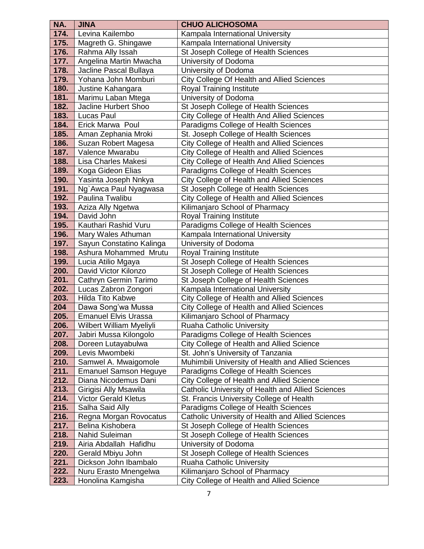| NA.          | <b>JINA</b>                                | <b>CHUO ALICHOSOMA</b>                                      |
|--------------|--------------------------------------------|-------------------------------------------------------------|
| 174.         | Levina Kailembo                            | Kampala International University                            |
| 175.         | Magreth G. Shingawe                        | Kampala International University                            |
| 176.         | Rahma Ally Issah                           | St Joseph College of Health Sciences                        |
| 177.         | Angelina Martin Mwacha                     | University of Dodoma                                        |
| 178.         | Jacline Pascal Bullaya                     | University of Dodoma                                        |
| 179.         | Yohana John Momburi                        | City College Of Health and Allied Sciences                  |
| 180.         | Justine Kahangara                          | Royal Training Institute                                    |
| 181.         | Marimu Laban Mtega                         | University of Dodoma                                        |
| 182.         | Jacline Hurbert Shoo                       | St Joseph College of Health Sciences                        |
| 183.         | Lucas Paul                                 | City College of Health And Allied Sciences                  |
| 184.         | Erick Marwa Poul                           | Paradigms College of Health Sciences                        |
| 185.         | Aman Zephania Mroki                        | St. Joseph College of Health Sciences                       |
| 186.         | Suzan Robert Magesa                        | City College of Health and Allied Sciences                  |
| 187.         | Valence Mwarabu                            | City College of Health and Allied Sciences                  |
| 188.         | Lisa Charles Makesi                        | City College of Health And Allied Sciences                  |
| 189.         | Koga Gideon Elias                          | Paradigms College of Health Sciences                        |
| 190.         | Yasinta Joseph Nnkya                       | City College of Health and Allied Sciences                  |
| 191.         | Ng`Awca Paul Nyagwasa                      | St Joseph College of Health Sciences                        |
| 192.         | Paulina Twalibu                            | City College of Health and Allied Sciences                  |
| 193.         | Aziza Ally Ngetwa                          | Kilimanjaro School of Pharmacy                              |
| 194.         | David John                                 | <b>Royal Training Institute</b>                             |
| 195.         | Kauthari Rashid Vuru                       | Paradigms College of Health Sciences                        |
| 196.         | Mary Wales Athuman                         | Kampala International University                            |
| 197.         | Sayun Constatino Kalinga                   | University of Dodoma                                        |
| 198.         | Ashura Mohammed Mrutu                      | Royal Training Institute                                    |
| 199.         | Lucia Atilio Mgaya                         | St Joseph College of Health Sciences                        |
| 200.         | David Victor Kilonzo                       | St Joseph College of Health Sciences                        |
| 201.         | Cathryn Germin Tarimo                      | St Joseph College of Health Sciences                        |
| 202.         | Lucas Zabron Zongori                       | Kampala International University                            |
| 203.         | Hilda Tito Kabwe                           | City College of Health and Allied Sciences                  |
| 204          | Dawa Song'wa Mussa                         | City College of Health and Allied Sciences                  |
| 205.         | <b>Emanuel Elvis Urassa</b>                | Kilimanjaro School of Pharmacy                              |
| 206.         | <b>Wilbert William Myeliyli</b>            | Ruaha Catholic University                                   |
| 207.         | Jabiri Mussa Kilongolo                     | Paradigms College of Health Sciences                        |
| 208.         | Doreen Lutayabulwa                         | City College of Health and Allied Science                   |
| 209.         | Levis Mwombeki                             | St. John's University of Tanzania                           |
| 210.         | Samwel A. Mwaigomole                       | Muhimbili University of Health and Allied Sciences          |
| 211.         | <b>Emanuel Samson Heguye</b>               | Paradigms College of Health Sciences                        |
| 212.         | Diana Nicodemus Dani                       | City College of Health and Allied Science                   |
| 213.         | Girigisi Ally Msawila                      | Catholic University of Health and Allied Sciences           |
| 214.         | Victor Gerald Kletus                       | St. Francis University College of Health                    |
| 215.         | Salha Said Ally                            | Paradigms College of Health Sciences                        |
| 216.         | Regna Morgan Rovocatus                     | Catholic University of Health and Allied Sciences           |
| 217.         | Belina Kishobera                           | St Joseph College of Health Sciences                        |
| 218.         | Nahid Suleiman                             | St Joseph College of Health Sciences                        |
| 219.         | Airia Abdallah Hafidhu                     | University of Dodoma                                        |
| 220.<br>221. | Gerald Mbiyu John<br>Dickson John Ibambalo | St Joseph College of Health Sciences                        |
| 222.         | Nuru Erasto Mnengelwa                      | Ruaha Catholic University<br>Kilimanjaro School of Pharmacy |
| 223.         | Honolina Kamgisha                          | City College of Health and Allied Science                   |
|              |                                            |                                                             |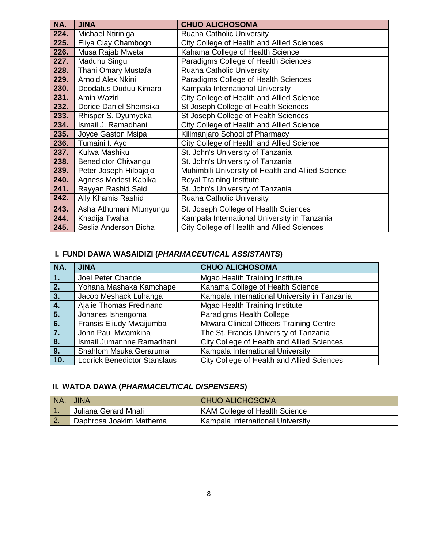| NA.  | <b>JINA</b>                | <b>CHUO ALICHOSOMA</b>                            |
|------|----------------------------|---------------------------------------------------|
| 224. | Michael Ntiriniga          | <b>Ruaha Catholic University</b>                  |
| 225. | Eliya Clay Chambogo        | City College of Health and Allied Sciences        |
| 226. | Musa Rajab Mweta           | Kahama College of Health Science                  |
| 227. | Maduhu Singu               | Paradigms College of Health Sciences              |
| 228. | Thani Omary Mustafa        | Ruaha Catholic University                         |
| 229. | Arnold Alex Nkini          | Paradigms College of Health Sciences              |
| 230. | Deodatus Duduu Kimaro      | Kampala International University                  |
| 231. | Amin Waziri                | City College of Health and Allied Science         |
| 232. | Dorice Daniel Shemsika     | St Joseph College of Health Sciences              |
| 233. | Rhisper S. Dyumyeka        | St Joseph College of Health Sciences              |
| 234. | Ismail J. Ramadhani        | City College of Health and Allied Science         |
| 235. | Joyce Gaston Msipa         | Kilimanjaro School of Pharmacy                    |
| 236. | Tumaini I. Ayo             | City College of Health and Allied Science         |
| 237. | Kulwa Mashiku              | St. John's University of Tanzania                 |
| 238. | <b>Benedictor Chiwangu</b> | St. John's University of Tanzania                 |
| 239. | Peter Joseph Hilbajojo     | Muhimbili University of Health and Allied Science |
| 240. | Agness Modest Kabika       | <b>Royal Training Institute</b>                   |
| 241. | Rayyan Rashid Said         | St. John's University of Tanzania                 |
| 242. | Ally Khamis Rashid         | <b>Ruaha Catholic University</b>                  |
| 243. | Asha Athumani Mtunyungu    | St. Joseph College of Health Sciences             |
| 244. | Khadija Twaha              | Kampala International University in Tanzania      |
| 245. | Seslia Anderson Bicha      | City College of Health and Allied Sciences        |

# **I. FUNDI DAWA WASAIDIZI (***PHARMACEUTICAL ASSISTANTS***)**

| NA. | <b>JINA</b>                         | <b>CHUO ALICHOSOMA</b>                          |
|-----|-------------------------------------|-------------------------------------------------|
| 1.  | Joel Peter Chande                   | Mgao Health Training Institute                  |
| 2.  | Yohana Mashaka Kamchape             | Kahama College of Health Science                |
| 3.  | Jacob Meshack Luhanga               | Kampala International University in Tanzania    |
| 4.1 | Ajalie Thomas Fredinand             | Mgao Health Training Institute                  |
| 5.  | Johanes Ishengoma                   | Paradigms Health College                        |
| 6.  | Fransis Eliudy Mwaijumba            | <b>Mtwara Clinical Officers Training Centre</b> |
| 7.  | John Paul Mwamkina                  | The St. Francis University of Tanzania          |
| 8.  | Ismail Jumannne Ramadhani           | City College of Health and Allied Sciences      |
| 9.  | Shahlom Msuka Geraruma              | Kampala International University                |
| 10. | <b>Lodrick Benedictor Stanslaus</b> | City College of Health and Allied Sciences      |

# **II. WATOA DAWA (***PHARMACEUTICAL DISPENSERS***)**

| NA.    | <b>UINA</b>             | <b>CHUO ALICHOSOMA</b>               |
|--------|-------------------------|--------------------------------------|
|        | Juliana Gerard Mnali    | <b>KAM College of Health Science</b> |
| $\sim$ | Daphrosa Joakim Mathema | Kampala International University     |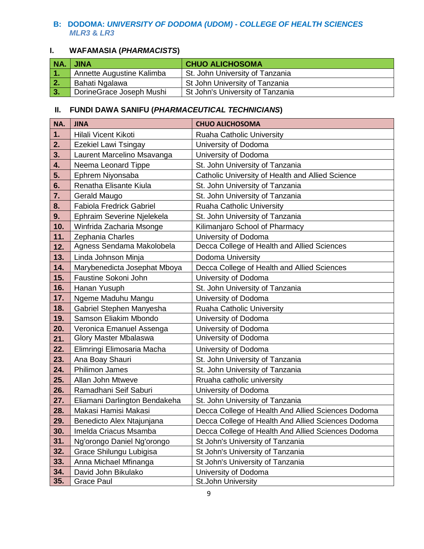#### **B: DODOMA:** *UNIVERSITY OF DODOMA (UDOM)* **-** *COLLEGE OF HEALTH SCIENCES MLR3* **&** *LR3*

# **I. WAFAMASIA (***PHARMACISTS***)**

|                   | NA. JINA                    | <b>CHUO ALICHOSOMA</b>                 |
|-------------------|-----------------------------|----------------------------------------|
| 1.                | I Annette Augustine Kalimba | <b>St. John University of Tanzania</b> |
| $ 2\rangle$       | Bahati Ngalawa              | St John University of Tanzania         |
| $\blacksquare$ 3. | DorineGrace Joseph Mushi    | St John's University of Tanzania       |

| NA. | <b>JINA</b>                     | <b>CHUO ALICHOSOMA</b>                             |
|-----|---------------------------------|----------------------------------------------------|
| 1.  | Hilali Vicent Kikoti            | Ruaha Catholic University                          |
| 2.  | <b>Ezekiel Lawi Tsingay</b>     | University of Dodoma                               |
| 3.  | Laurent Marcelino Msavanga      | University of Dodoma                               |
| 4.  | Neema Leonard Tippe             | St. John University of Tanzania                    |
| 5.  | Ephrem Niyonsaba                | Catholic University of Health and Allied Science   |
| 6.  | Renatha Elisante Kiula          | St. John University of Tanzania                    |
| 7.  | Gerald Maugo                    | St. John University of Tanzania                    |
| 8.  | <b>Fabiola Fredrick Gabriel</b> | Ruaha Catholic University                          |
| 9.  | Ephraim Severine Njelekela      | St. John University of Tanzania                    |
| 10. | Winfrida Zacharia Msonge        | Kilimanjaro School of Pharmacy                     |
| 11. | Zephania Charles                | University of Dodoma                               |
| 12. | Agness Sendama Makolobela       | Decca College of Health and Allied Sciences        |
| 13. | Linda Johnson Minja             | Dodoma University                                  |
| 14. | Marybenedicta Josephat Mboya    | Decca College of Health and Allied Sciences        |
| 15. | Faustine Sokoni John            | University of Dodoma                               |
| 16. | Hanan Yusuph                    | St. John University of Tanzania                    |
| 17. | Ngeme Maduhu Mangu              | University of Dodoma                               |
| 18. | Gabriel Stephen Manyesha        | Ruaha Catholic University                          |
| 19. | Samson Eliakim Mbondo           | University of Dodoma                               |
| 20. | Veronica Emanuel Assenga        | University of Dodoma                               |
| 21. | <b>Glory Master Mbalaswa</b>    | University of Dodoma                               |
| 22. | Elimringi Elimosaria Macha      | University of Dodoma                               |
| 23. | Ana Boay Shauri                 | St. John University of Tanzania                    |
| 24. | <b>Philimon James</b>           | St. John University of Tanzania                    |
| 25. | Allan John Mtweve               | Rruaha catholic university                         |
| 26. | Ramadhani Seif Saburi           | University of Dodoma                               |
| 27. | Eliamani Darlington Bendakeha   | St. John University of Tanzania                    |
| 28. | Makasi Hamisi Makasi            | Decca College of Health And Allied Sciences Dodoma |
| 29. | Benedicto Alex Ntajunjana       | Decca College of Health And Allied Sciences Dodoma |
| 30. | Imelda Criacus Msamba           | Decca College of Health And Allied Sciences Dodoma |
| 31. | Ng'orongo Daniel Ng'orongo      | St John's University of Tanzania                   |
| 32. | Grace Shilungu Lubigisa         | St John's University of Tanzania                   |
| 33. | Anna Michael Mfinanga           | St John's University of Tanzania                   |
| 34. | David John Bikulako             | University of Dodoma                               |
| 35. | <b>Grace Paul</b>               | St.John University                                 |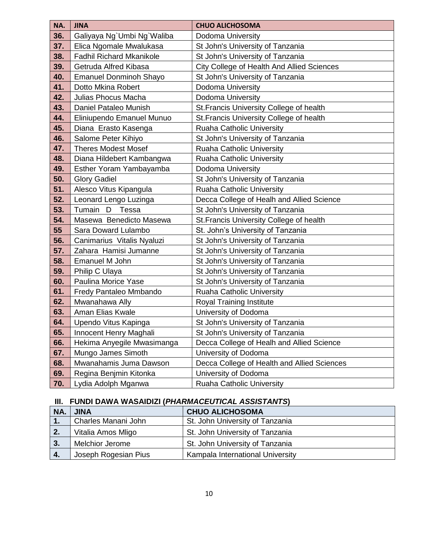| NA. | <b>JINA</b>                     | <b>CHUO ALICHOSOMA</b>                      |
|-----|---------------------------------|---------------------------------------------|
| 36. | Galiyaya Ng`Umbi Ng`Waliba      | Dodoma University                           |
| 37. | Elica Ngomale Mwalukasa         | St John's University of Tanzania            |
| 38. | <b>Fadhil Richard Mkanikole</b> | St John's University of Tanzania            |
| 39. | Getruda Alfred Kibasa           | City College of Health And Allied Sciences  |
| 40. | <b>Emanuel Donminoh Shayo</b>   | St John's University of Tanzania            |
| 41. | Dotto Mkina Robert              | Dodoma University                           |
| 42. | Julias Phocus Macha             | Dodoma University                           |
| 43. | Daniel Pataleo Munish           | St. Francis University College of health    |
| 44. | Eliniupendo Emanuel Munuo       | St. Francis University College of health    |
| 45. | Diana Erasto Kasenga            | Ruaha Catholic University                   |
| 46. | Salome Peter Kihiyo             | St John's University of Tanzania            |
| 47. | <b>Theres Modest Mosef</b>      | Ruaha Catholic University                   |
| 48. | Diana Hildebert Kambangwa       | Ruaha Catholic University                   |
| 49. | Esther Yoram Yambayamba         | Dodoma University                           |
| 50. | <b>Glory Gadiel</b>             | St John's University of Tanzania            |
| 51. | Alesco Vitus Kipangula          | Ruaha Catholic University                   |
| 52. | Leonard Lengo Luzinga           | Decca College of Healh and Allied Science   |
| 53. | Tumain D<br>Tessa               | St John's University of Tanzania            |
| 54. | Masewa Benedicto Masewa         | St. Francis University College of health    |
| 55  | Sara Doward Lulambo             | St. John's University of Tanzania           |
| 56. | Canimarius Vitalis Nyaluzi      | St John's University of Tanzania            |
| 57. | Zahara Hamisi Jumanne           | St John's University of Tanzania            |
| 58. | Emanuel M John                  | St John's University of Tanzania            |
| 59. | Philip C Ulaya                  | St John's University of Tanzania            |
| 60. | Paulina Morice Yase             | St John's University of Tanzania            |
| 61. | Fredy Pantaleo Mmbando          | Ruaha Catholic University                   |
| 62. | Mwanahawa Ally                  | <b>Royal Training Institute</b>             |
| 63. | Aman Elias Kwale                | University of Dodoma                        |
| 64. | Upendo Vitus Kapinga            | St John's University of Tanzania            |
| 65. | Innocent Henry Maghali          | St John's University of Tanzania            |
| 66. | Hekima Anyegile Mwasimanga      | Decca College of Healh and Allied Science   |
| 67. | Mungo James Simoth              | University of Dodoma                        |
| 68. | Mwanahamis Juma Dawson          | Decca College of Health and Allied Sciences |
| 69. | Regina Benjmin Kitonka          | University of Dodoma                        |
| 70. | Lydia Adolph Mganwa             | <b>Ruaha Catholic University</b>            |

# **III. FUNDI DAWA WASAIDIZI (***PHARMACEUTICAL ASSISTANTS***)**

| NA. | <b>JINA</b>            | <b>CHUO ALICHOSOMA</b>           |
|-----|------------------------|----------------------------------|
| 1.  | Charles Manani John    | St. John University of Tanzania  |
| 2.  | Vitalia Amos Mligo     | St. John University of Tanzania  |
| 3.  | <b>Melchior Jerome</b> | St. John University of Tanzania  |
| 4.  | Joseph Rogesian Pius   | Kampala International University |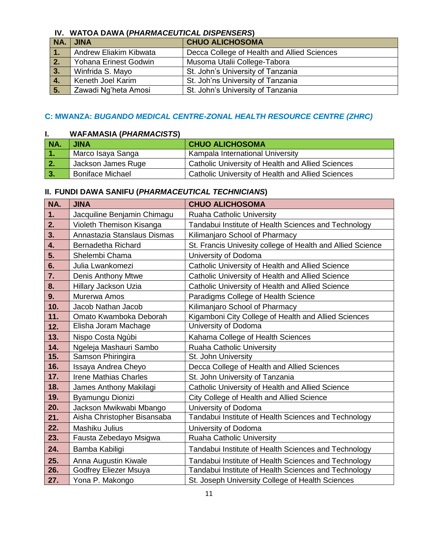### **IV. WATOA DAWA (***PHARMACEUTICAL DISPENSERS***)**

| NA. | <b>JINA</b>            | <b>CHUO ALICHOSOMA</b>                      |
|-----|------------------------|---------------------------------------------|
|     | Andrew Eliakim Kibwata | Decca College of Health and Allied Sciences |
| 2.  | Yohana Erinest Godwin  | Musoma Utalii College-Tabora                |
| 3.  | Winfrida S. Mayo       | St. John's University of Tanzania           |
| 4.  | Keneth Joel Karim      | St. Joh'ns University of Tanzania           |
| 5.  | Zawadi Ng'heta Amosi   | St. John's University of Tanzania           |

#### **C: MWANZA:** *BUGANDO MEDICAL CENTRE-ZONAL HEALTH RESOURCE CENTRE (ZHRC)*

#### **I. WAFAMASIA (***PHARMACISTS***)**

| NA.       | <b>JINA</b>             | <b>CHUO ALICHOSOMA</b>                            |
|-----------|-------------------------|---------------------------------------------------|
| . .       | Marco Isaya Sanga       | Kampala International University                  |
| 2.        | Jackson James Ruge      | Catholic University of Health and Allied Sciences |
| <b>B.</b> | <b>Boniface Michael</b> | Catholic University of Health and Allied Sciences |

| NA.          | <b>JINA</b>                  | <b>CHUO ALICHOSOMA</b>                                     |
|--------------|------------------------------|------------------------------------------------------------|
| 1.           | Jacquiline Benjamin Chimagu  | <b>Ruaha Catholic University</b>                           |
| 2.           | Violeth Themison Kisanga     | Tandabui Institute of Health Sciences and Technology       |
| 3.           | Annastazia Stanslaus Dismas  | Kilimanjaro School of Pharmacy                             |
| $\mathbf{4}$ | Bernadetha Richard           | St. Francis Univesity college of Health and Allied Science |
| 5.           | Shelembi Chama               | University of Dodoma                                       |
| 6.           | Julia Lwankomezi             | Catholic University of Health and Allied Science           |
| 7.           | Denis Anthony Mtwe           | Catholic University of Health and Allied Science           |
| 8.           | Hillary Jackson Uzia         | Catholic University of Health and Allied Science           |
| 9.           | Murerwa Amos                 | Paradigms College of Health Science                        |
| 10.          | Jacob Nathan Jacob           | Kilimanjaro School of Pharmacy                             |
| 11.          | Omato Kwamboka Deborah       | Kigamboni City College of Health and Allied Sciences       |
| 12.          | Elisha Joram Machage         | University of Dodoma                                       |
| 13.          | Nispo Costa Ngùbi            | Kahama College of Health Sciences                          |
| 14.          | Ngeleja Mashauri Sambo       | Ruaha Catholic University                                  |
| 15.          | Samson Phiringira            | St. John University                                        |
| 16.          | Issaya Andrea Cheyo          | Decca College of Health and Allied Sciences                |
| 17.          | <b>Irene Mathias Charles</b> | St. John University of Tanzania                            |
| 18.          | James Anthony Makilagi       | Catholic University of Health and Allied Science           |
| 19.          | Byamungu Dionizi             | City College of Health and Allied Science                  |
| 20.          | Jackson Mwikwabi Mbango      | University of Dodoma                                       |
| 21.          | Aisha Christopher Bisansaba  | Tandabui Institute of Health Sciences and Technology       |
| 22.          | Mashiku Julius               | University of Dodoma                                       |
| 23.          | Fausta Zebedayo Msigwa       | <b>Ruaha Catholic University</b>                           |
| 24.          | Bamba Kabiligi               | Tandabui Institute of Health Sciences and Technology       |
| 25.          | Anna Augustin Kiwale         | Tandabui Institute of Health Sciences and Technology       |
| 26.          | Godfrey Eliezer Msuya        | Tandabui Institute of Health Sciences and Technology       |
| 27.          | Yona P. Makongo              | St. Joseph University College of Health Sciences           |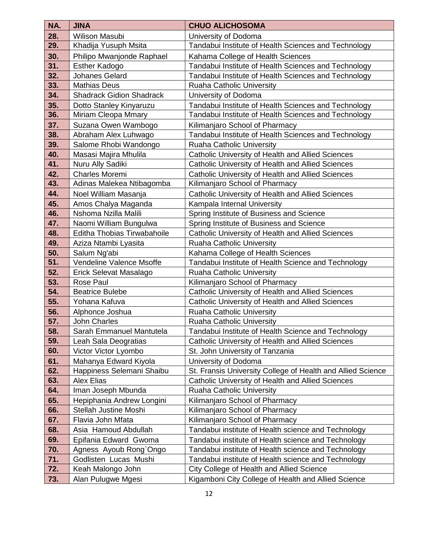| NA.        | <b>JINA</b>                     | <b>CHUO ALICHOSOMA</b>                                      |
|------------|---------------------------------|-------------------------------------------------------------|
| 28.        | <b>Wilison Masubi</b>           | University of Dodoma                                        |
| 29.        | Khadija Yusuph Msita            | Tandabui Institute of Health Sciences and Technology        |
| 30.        | Philipo Mwanjonde Raphael       | Kahama College of Health Sciences                           |
| 31.        | <b>Esther Kadogo</b>            | Tandabui Institute of Health Sciences and Technology        |
| 32.        | Johanes Gelard                  | Tandabui Institute of Health Sciences and Technology        |
| 33.        | <b>Mathias Deus</b>             | <b>Ruaha Catholic University</b>                            |
| 34.        | <b>Shadrack Gidion Shadrack</b> | University of Dodoma                                        |
| 35.        | Dotto Stanley Kinyaruzu         | Tandabui Institute of Health Sciences and Technology        |
| 36.        | Miriam Cleopa Mmary             | Tandabui Institute of Health Sciences and Technology        |
| 37.        | Suzana Owen Wambogo             | Kilimanjaro School of Pharmacy                              |
| 38.        | Abraham Alex Luhwago            | Tandabui Institute of Health Sciences and Technology        |
| 39.        | Salome Rhobi Wandongo           | Ruaha Catholic University                                   |
| 40.        | Masasi Majira Mhulila           | Catholic University of Health and Allied Sciences           |
| 41.        | Nuru Ally Sadiki                | Catholic University of Health and Allied Sciences           |
| 42.        | Charles Moremi                  | Catholic University of Health and Allied Sciences           |
| 43.        | Adinas Malekea Ntibagomba       | Kilimanjaro School of Pharmacy                              |
| 44.        | Noel William Masanja            | Catholic University of Health and Allied Sciences           |
| 45.        | Amos Chalya Maganda             | Kampala Internal University                                 |
| 46.        | Nshoma Nzilla Malili            | Spring Institute of Business and Science                    |
| 47.        | Naomi William Bungulwa          | Spring Institute of Business and Science                    |
| 48.        | Editha Thobias Tirwabahoile     | Catholic University of Health and Allied Sciences           |
| 49.        | Aziza Ntambi Lyasita            | <b>Ruaha Catholic University</b>                            |
| 50.        | Salum Ng'abi                    | Kahama College of Health Sciences                           |
| 51.        | Vendeline Valence Msoffe        | Tandabui Institute of Health Science and Technology         |
| 52.        | Erick Selevat Masalago          | <b>Ruaha Catholic University</b>                            |
| 53.        | Rose Paul                       | Kilimanjaro School of Pharmacy                              |
| 54.        | <b>Beatrice Bulebe</b>          | Catholic University of Health and Allied Sciences           |
| 55.        | Yohana Kafuva                   | Catholic University of Health and Allied Sciences           |
| 56.        | Alphonce Joshua                 | Ruaha Catholic University                                   |
| 57.        | John Charles                    | <b>Ruaha Catholic University</b>                            |
| 58.        | Sarah Emmanuel Mantutela        | Tandabui Institute of Health Science and Technology         |
| 59.        | Leah Sala Deogratias            | Catholic University of Health and Allied Sciences           |
| 60.        | Victor Victor Lyombo            | St. John University of Tanzania                             |
| 61.        | Mahanya Edward Kiyola           | University of Dodoma                                        |
| 62.        | Happiness Selemani Shaibu       | St. Fransis University College of Health and Allied Science |
| 63.        | <b>Alex Elias</b>               | Catholic University of Health and Allied Sciences           |
| 64.        | Iman Joseph Mbunda              | <b>Ruaha Catholic University</b>                            |
| 65.        | Hepiphania Andrew Longini       | Kilimanjaro School of Pharmacy                              |
| 66.        | <b>Stellah Justine Moshi</b>    | Kilimanjaro School of Pharmacy                              |
| 67.        | Flavia John Mfata               | Kilimanjaro School of Pharmacy                              |
| 68.        | Asia Hamoud Abdullah            | Tandabui institute of Health science and Technology         |
| 69.        | Epifania Edward Gwoma           | Tandabui institute of Health science and Technology         |
| 70.        | Agness Ayoub Rong`Ongo          | Tandabui institute of Health science and Technology         |
| 71.<br>72. | Godlisten Lucas Mushi           | Tandabui institute of Health science and Technology         |
|            | Keah Malongo John               | City College of Health and Allied Science                   |
| 73.        | Alan Pulugwe Mgesi              | Kigamboni City College of Health and Allied Science         |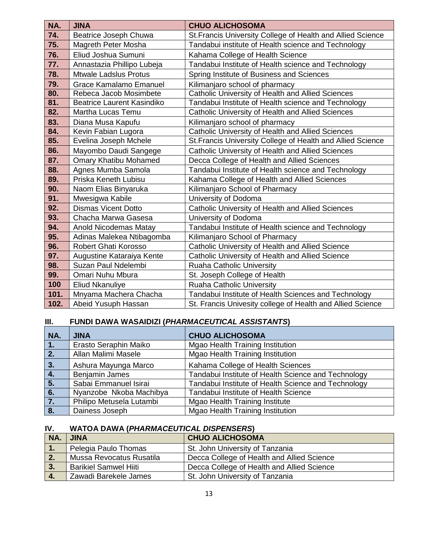| NA.  | <b>JINA</b>                       | <b>CHUO ALICHOSOMA</b>                                      |
|------|-----------------------------------|-------------------------------------------------------------|
| 74.  | Beatrice Joseph Chuwa             | St. Francis University College of Health and Allied Science |
| 75.  | Magreth Peter Mosha               | Tandabui institute of Health science and Technology         |
| 76.  | Eliud Joshua Sumuni               | Kahama College of Health Science                            |
| 77.  | Annastazia Phillipo Lubeja        | Tandabui Institute of Health science and Technology         |
| 78.  | <b>Mtwale Ladslus Protus</b>      | Spring Institute of Business and Sciences                   |
| 79.  | <b>Grace Kamalamo Emanuel</b>     | Kilimanjaro school of pharmacy                              |
| 80.  | Rebeca Jacob Mosimbete            | Catholic University of Health and Allied Sciences           |
| 81.  | <b>Beatrice Laurent Kasindiko</b> | Tandabui Institute of Health science and Technology         |
| 82.  | Martha Lucas Temu                 | Catholic University of Health and Allied Sciences           |
| 83.  | Diana Musa Kapufu                 | Kilimanjaro school of pharmacy                              |
| 84.  | Kevin Fabian Lugora               | Catholic University of Health and Allied Sciences           |
| 85.  | Evelina Joseph Mchele             | St. Francis University College of Health and Allied Science |
| 86.  | Mayombo Daudi Sangege             | Catholic University of Health and Allied Sciences           |
| 87.  | <b>Omary Khatibu Mohamed</b>      | Decca College of Health and Allied Sciences                 |
| 88.  | Agnes Mumba Samola                | Tandabui Institute of Health science and Technology         |
| 89.  | Priska Keneth Lubisu              | Kahama College of Health and Allied Sciences                |
| 90.  | Naom Elias Binyaruka              | Kilimanjaro School of Pharmacy                              |
| 91.  | Mwesigwa Kabile                   | University of Dodoma                                        |
| 92.  | <b>Dismas Vicent Dotto</b>        | Catholic University of Health and Allied Sciences           |
| 93.  | Chacha Marwa Gasesa               | University of Dodoma                                        |
| 94.  | <b>Anold Nicodemas Matay</b>      | Tandabui Institute of Health science and Technology         |
| 95.  | Adinas Malekea Ntibagomba         | Kilimanjaro School of Pharmacy                              |
| 96.  | Robert Ghati Korosso              | Catholic University of Health and Allied Science            |
| 97.  | Augustine Kataraiya Kente         | Catholic University of Health and Allied Science            |
| 98.  | Suzan Paul Ndelembi               | Ruaha Catholic University                                   |
| 99.  | Omari Nuhu Mbura                  | St. Joseph College of Health                                |
| 100  | <b>Eliud Nkanuliye</b>            | Ruaha Catholic University                                   |
| 101. | Mnyama Machera Chacha             | Tandabui Institute of Health Sciences and Technology        |
| 102. | Abeid Yusuph Hassan               | St. Francis Univesity college of Health and Allied Science  |

# **III. FUNDI DAWA WASAIDIZI (***PHARMACEUTICAL ASSISTANTS***)**

| NA.              | <b>JINA</b>              | <b>CHUO ALICHOSOMA</b>                              |
|------------------|--------------------------|-----------------------------------------------------|
| 1.               | Erasto Seraphin Maiko    | Mgao Health Training Institution                    |
| $\overline{2}$ . | Allan Malimi Masele      | <b>Mgao Health Training Institution</b>             |
| $\overline{3}$   | Ashura Mayunga Marco     | Kahama College of Health Sciences                   |
| $\overline{4}$ . | Benjamin James           | Tandabui Institute of Health Science and Technology |
| $\overline{5}$ . | Sabai Emmanuel Isirai    | Tandabui Institute of Health Science and Technology |
| 6.               | Nyanzobe Nkoba Machibya  | Tandabui Institute of Health Science                |
| $\overline{7}$ . | Philipo Metusela Lutambi | Mgao Health Training Institute                      |
| 8.               | Dainess Joseph           | Mgao Health Training Institution                    |

# **IV. WATOA DAWA (***PHARMACEUTICAL DISPENSERS***)**

| NA. | <b>JINA</b>                  | <b>CHUO ALICHOSOMA</b>                     |
|-----|------------------------------|--------------------------------------------|
| ъ.  | Pelegia Paulo Thomas         | St. John University of Tanzania            |
| 2.  | Mussa Revocatus Rusatila     | Decca College of Health and Allied Science |
| 3.  | <b>Barikiel Samwel Hiiti</b> | Decca College of Health and Allied Science |
|     | Zawadi Barekele James        | St. John University of Tanzania            |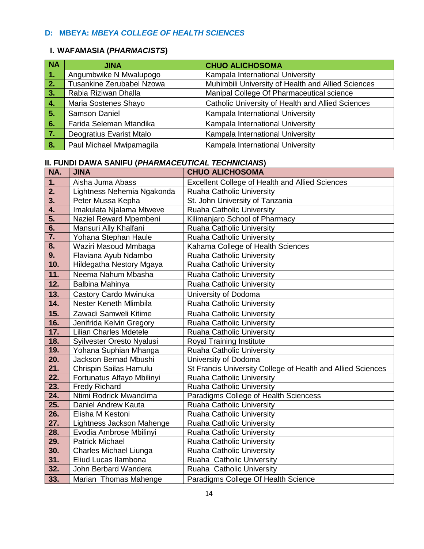### **D: MBEYA:** *MBEYA COLLEGE OF HEALTH SCIENCES*

#### **I. WAFAMASIA (***PHARMACISTS***)**

| <b>NA</b> | <b>JINA</b>               | <b>CHUO ALICHOSOMA</b>                             |
|-----------|---------------------------|----------------------------------------------------|
| 1.        | Angumbwike N Mwalupogo    | Kampala International University                   |
| 2.        | Tusankine Zerubabel Nzowa | Muhimbili University of Health and Allied Sciences |
| 3.7       | Rabia Riziwan Dhalla      | Manipal College Of Pharmaceutical science          |
| 4.        | Maria Sostenes Shayo      | Catholic University of Health and Allied Sciences  |
| 5.        | Samson Daniel             | Kampala International University                   |
| 6.        | Farida Seleman Mtandika   | Kampala International University                   |
| 7.        | Deogratius Evarist Mtalo  | Kampala International University                   |
| 8.        | Paul Michael Mwipamagila  | Kampala International University                   |

| NA.              | <b>JINA</b>                   | <b>CHUO ALICHOSOMA</b>                                      |
|------------------|-------------------------------|-------------------------------------------------------------|
| 1.               | Aisha Juma Abass              | <b>Excellent College of Health and Allied Sciences</b>      |
| 2.               | Lightness Nehemia Ngakonda    | Ruaha Catholic University                                   |
| 3.               | Peter Mussa Kepha             | St. John University of Tanzania                             |
| 4.               | Imakulata Njalama Mtweve      | <b>Ruaha Catholic University</b>                            |
| 5.               | Naziel Reward Mpembeni        | Kilimanjaro School of Pharmacy                              |
| 6.               | Mansuri Ally Khalfani         | <b>Ruaha Catholic University</b>                            |
| $\overline{7}$ . | Yohana Stephan Haule          | Ruaha Catholic University                                   |
| 8.               | Waziri Masoud Mmbaga          | Kahama College of Health Sciences                           |
| 9.               | Flaviana Ayub Ndambo          | Ruaha Catholic University                                   |
| 10.              | Hildegatha Nestory Mgaya      | Ruaha Catholic University                                   |
| 11.              | Neema Nahum Mbasha            | <b>Ruaha Catholic University</b>                            |
| 12.              | Balbina Mahinya               | Ruaha Catholic University                                   |
| 13.              | Castory Cardo Mwinuka         | University of Dodoma                                        |
| 14.              | Nester Keneth Mlimbila        | Ruaha Catholic University                                   |
| 15.              | Zawadi Samweli Kitime         | Ruaha Catholic University                                   |
| 16.              | Jenifrida Kelvin Gregory      | Ruaha Catholic University                                   |
| 17.              | <b>Lilian Charles Mdetele</b> | Ruaha Catholic University                                   |
| 18.              | Syilvester Oresto Nyalusi     | Royal Training Institute                                    |
| 19.              | Yohana Suphian Mhanga         | Ruaha Catholic University                                   |
| 20.              | Jackson Bernad Mbushi         | University of Dodoma                                        |
| 21.              | Chrispin Sailas Hamulu        | St Francis University College of Health and Allied Sciences |
| 22.              | Fortunatus Alfayo Mbilinyi    | Ruaha Catholic University                                   |
| 23.              | <b>Fredy Richard</b>          | Ruaha Catholic University                                   |
| 24.              | Ntimi Rodrick Mwandima        | Paradigms College of Health Sciencess                       |
| 25.              | Daniel Andrew Kauta           | <b>Ruaha Catholic University</b>                            |
| 26.              | Elisha M Kestoni              | Ruaha Catholic University                                   |
| 27.              | Lightness Jackson Mahenge     | Ruaha Catholic University                                   |
| 28.              | Evodia Ambrose Mbilinyi       | Ruaha Catholic University                                   |
| 29.              | <b>Patrick Michael</b>        | <b>Ruaha Catholic University</b>                            |
| 30.              | Charles Michael Liunga        | <b>Ruaha Catholic University</b>                            |
| 31.              | Eliud Lucas Ilambona          | Ruaha Catholic University                                   |
| 32.              | John Berbard Wandera          | Ruaha Catholic University                                   |
| 33.              | Marian Thomas Mahenge         | Paradigms College Of Health Science                         |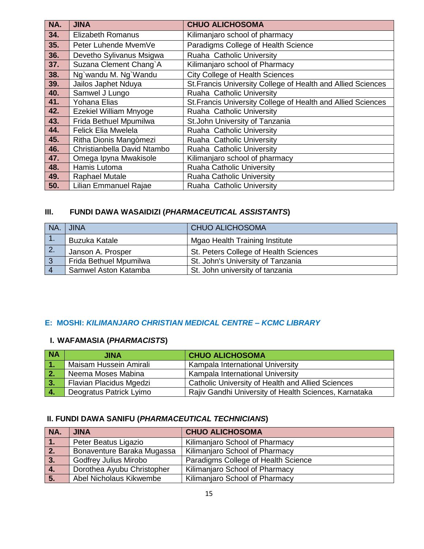| NA. | <b>JINA</b>                   | <b>CHUO ALICHOSOMA</b>                                       |
|-----|-------------------------------|--------------------------------------------------------------|
| 34. | <b>Elizabeth Romanus</b>      | Kilimanjaro school of pharmacy                               |
| 35. | Peter Luhende MvemVe          | Paradigms College of Health Science                          |
| 36. | Devetho Sylivanus Msigwa      | Ruaha Catholic University                                    |
| 37. | Suzana Clement Chang`A        | Kilimanjaro school of Pharmacy                               |
| 38. | Ng`wandu M. Ng`Wandu          | <b>City College of Health Sciences</b>                       |
| 39. | Jailos Japhet Nduya           | St. Francis University College of Health and Allied Sciences |
| 40. | Samwel J Lungo                | Ruaha Catholic University                                    |
| 41. | Yohana Elias                  | St. Francis University College of Health and Allied Sciences |
| 42. | <b>Ezekiel William Mnyoge</b> | Ruaha Catholic University                                    |
| 43. | Frida Bethuel Mpumilwa        | St.John University of Tanzania                               |
| 44. | <b>Felick Elia Mwelela</b>    | Ruaha Catholic University                                    |
| 45. | Ritha Dionis Mangòmezi        | Ruaha Catholic University                                    |
| 46. | Christianbella David Ntambo   | Ruaha Catholic University                                    |
| 47. | Omega Ipyna Mwakisole         | Kilimanjaro school of pharmacy                               |
| 48. | Hamis Lutoma                  | <b>Ruaha Catholic University</b>                             |
| 49. | <b>Raphael Mutale</b>         | <b>Ruaha Catholic University</b>                             |
| 50. | Lilian Emmanuel Rajae         | Ruaha Catholic University                                    |

### **III. FUNDI DAWA WASAIDIZI (***PHARMACEUTICAL ASSISTANTS***)**

| NA. | <b>JINA</b>            | <b>CHUO ALICHOSOMA</b>                |
|-----|------------------------|---------------------------------------|
|     | <b>Buzuka Katale</b>   | <b>Mgao Health Training Institute</b> |
| -2. | Janson A. Prosper      | St. Peters College of Health Sciences |
| -3  | Frida Bethuel Mpumilwa | St. John's University of Tanzania     |
|     | Samwel Aston Katamba   | St. John university of tanzania       |

#### **E: MOSHI:** *KILIMANJARO CHRISTIAN MEDICAL CENTRE – KCMC LIBRARY*

### **I. WAFAMASIA (***PHARMACISTS***)**

| <b>NA</b>  | JINA                    | <b>CHUO ALICHOSOMA</b>                                   |
|------------|-------------------------|----------------------------------------------------------|
| <b>M</b>   | Maisam Hussein Amirali  | Kampala International University                         |
| $\vert$ 2. | Neema Moses Mabina      | Kampala International University                         |
| $\vert 3.$ | Flavian Placidus Mgedzi | <b>Catholic University of Health and Allied Sciences</b> |
| $\vert 4.$ | Deogratus Patrick Lyimo | Rajiv Gandhi University of Health Sciences, Karnataka    |

| NA.              | <b>JINA</b>                  | <b>CHUO ALICHOSOMA</b>              |
|------------------|------------------------------|-------------------------------------|
| VI.              | Peter Beatus Ligazio         | Kilimanjaro School of Pharmacy      |
| $\overline{2}$ . | Bonaventure Baraka Mugassa   | Kilimanjaro School of Pharmacy      |
| 3.               | <b>Godfrey Julius Mirobo</b> | Paradigms College of Health Science |
| 4.               | Dorothea Ayubu Christopher   | Kilimanjaro School of Pharmacy      |
| 5.               | Abel Nicholaus Kikwembe      | Kilimanjaro School of Pharmacy      |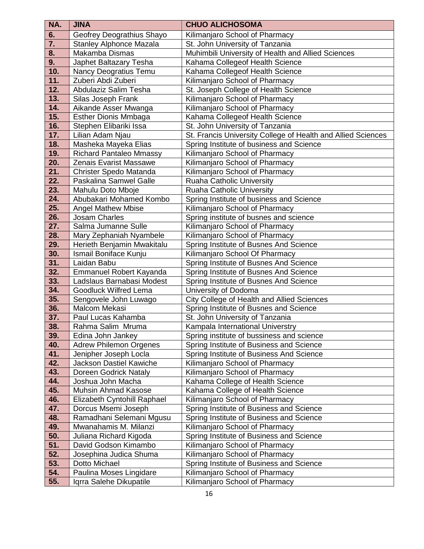| NA.        | <b>JINA</b>                                    | <b>CHUO ALICHOSOMA</b>                                                     |
|------------|------------------------------------------------|----------------------------------------------------------------------------|
| 6.         | Geofrey Deograthius Shayo                      | Kilimanjaro School of Pharmacy                                             |
| 7.         | <b>Stanley Alphonce Mazala</b>                 | St. John University of Tanzania                                            |
| 8.         | Makamba Dismas                                 | Muhimbili University of Health and Allied Sciences                         |
| 9.         | Japhet Baltazary Tesha                         | Kahama Collegeof Health Science                                            |
| 10.        | Nancy Deogratius Temu                          | Kahama Collegeof Health Science                                            |
| 11.        | Zuberi Abdi Zuberi                             | Kilimanjaro School of Pharmacy                                             |
| 12.        | Abdulaziz Salim Tesha                          | St. Joseph College of Health Science                                       |
| 13.        | Silas Joseph Frank                             | Kilimanjaro School of Pharmacy                                             |
| 14.        | Aikande Asser Mwanga                           | Kilimanjaro School of Pharmacy                                             |
| 15.        | Esther Dionis Mmbaga                           | Kahama Collegeof Health Science                                            |
| 16.        | Stephen Elibariki Issa                         | St. John University of Tanzania                                            |
| 17.        | Lilian Adam Njau                               | St. Francis University College of Health and Allied Sciences               |
| 18.        | Masheka Mayeka Elias                           | Spring Institute of business and Science                                   |
| 19.        | <b>Richard Pantaleo Mmassy</b>                 | Kilimanjaro School of Pharmacy                                             |
| 20.        | Zenais Evarist Massawe                         | Kilimanjaro School of Pharmacy                                             |
| 21.        | Christer Spedo Matanda                         | Kilimanjaro School of Pharmacy                                             |
| 22.        | Paskalina Samwel Galle                         | Ruaha Catholic University                                                  |
| 23.        | Mahulu Doto Mboje                              | Ruaha Catholic University                                                  |
| 24.        | Abubakari Mohamed Kombo                        | Spring Institute of business and Science                                   |
| 25.        | <b>Angel Mathew Mbise</b>                      | Kilimanjaro School of Pharmacy                                             |
| 26.        | Josam Charles                                  | Spring institute of busnes and science                                     |
| 27.        | Salma Jumanne Sulle                            | Kilimanjaro School of Pharmacy                                             |
| 28.        | Mary Zephaniah Nyambele                        | Kilimanjaro School of Pharmacy                                             |
| 29.        | Herieth Benjamin Mwakitalu                     | Spring Institute of Busnes And Science                                     |
| 30.        | Ismail Boniface Kunju                          | Kilimanjaro School Of Pharmacy                                             |
| 31.        | Laidan Babu                                    | Spring Institute of Busnes And Science                                     |
| 32.        | Emmanuel Robert Kayanda                        | Spring Institute of Busnes And Science                                     |
| 33.        | Ladslaus Barnabasi Modest                      | Spring Institute of Busnes And Science                                     |
| 34.        | <b>Goodluck Wilfred Lema</b>                   | University of Dodoma                                                       |
| 35.        | Sengovele John Luwago                          | <b>City College of Health and Allied Sciences</b>                          |
| 36.        | Malcom Mekasi                                  | Spring Institute of Busnes and Science                                     |
| 37.        | Paul Lucas Kahamba                             | St. John University of Tanzania                                            |
| 38.        | Rahma Salim Mruma                              | Kampala International Universtry                                           |
| 39.        | Edina John Jankey                              | Spring institute of bussiness and science                                  |
| 40.        | <b>Adrew Philemon Orgenes</b>                  | Spring Institute of Business and Science                                   |
| 41.        | Jenipher Joseph Locla                          | Spring Institute of Business And Science                                   |
| 42.        | Jackson Dastiel Kawiche                        | Kilimanjaro School of Pharmacy                                             |
| 43.        | Doreen Godrick Nataly                          | Kilimanjaro School of Pharmacy                                             |
| 44.        | Joshua John Macha                              | Kahama College of Health Science                                           |
| 45.        | Muhsin Ahmad Kasose                            | Kahama College of Health Science                                           |
| 46.        | Elizabeth Cyntohill Raphael                    | Kilimanjaro School of Pharmacy                                             |
| 47.        | Dorcus Msemi Joseph                            | Spring Institute of Business and Science                                   |
| 48.        | Ramadhani Selemani Mgusu                       | Spring Institute of Business and Science                                   |
| 49.        | Mwanahamis M. Milanzi                          | Kilimanjaro School of Pharmacy                                             |
| 50.<br>51. | Juliana Richard Kigoda<br>David Godson Kimambo | Spring Institute of Business and Science                                   |
| 52.        | Josephina Judica Shuma                         | Kilimanjaro School of Pharmacy                                             |
| 53.        | Dotto Michael                                  | Kilimanjaro School of Pharmacy<br>Spring Institute of Business and Science |
| 54.        | Paulina Moses Lingidare                        | Kilimanjaro School of Pharmacy                                             |
| 55.        | Iqrra Salehe Dikupatile                        | Kilimanjaro School of Pharmacy                                             |